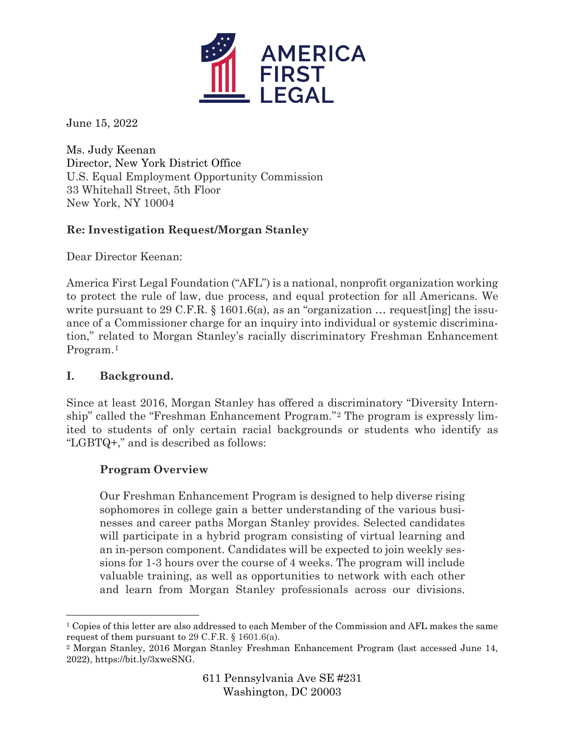

June 15, 2022

Ms. Judy Keenan Director, New York District Office U.S. Equal Employment Opportunity Commission 33 Whitehall Street, 5th Floor New York, NY 10004

# **Re: Investigation Request/Morgan Stanley**

Dear Director Keenan:

America First Legal Foundation ("AFL") is a national, nonprofit organization working to protect the rule of law, due process, and equal protection for all Americans. We write pursuant to 29 C.F.R. § 1601.6(a), as an "organization  $\ldots$  request [ing] the issuance of a Commissioner charge for an inquiry into individual or systemic discrimination," related to Morgan Stanley's racially discriminatory Freshman Enhancement Program.[1](#page-0-0)

# **I. Background.**

Since at least 2016, Morgan Stanley has offered a discriminatory "Diversity Internship" called the "Freshman Enhancement Program."[2](#page-0-1) The program is expressly limited to students of only certain racial backgrounds or students who identify as "LGBTQ+," and is described as follows:

# **Program Overview**

Our Freshman Enhancement Program is designed to help diverse rising sophomores in college gain a better understanding of the various businesses and career paths Morgan Stanley provides. Selected candidates will participate in a hybrid program consisting of virtual learning and an in-person component. Candidates will be expected to join weekly sessions for 1-3 hours over the course of 4 weeks. The program will include valuable training, as well as opportunities to network with each other and learn from Morgan Stanley professionals across our divisions.

<span id="page-0-0"></span><sup>&</sup>lt;sup>1</sup> Copies of this letter are also addressed to each Member of the Commission and AFL makes the same request of them pursuant to 29 C.F.R. § 1601.6(a).

<span id="page-0-1"></span><sup>2</sup> Morgan Stanley, 2016 Morgan Stanley Freshman Enhancement Program (last accessed June 14, 2022), https://bit.ly/3xweSNG.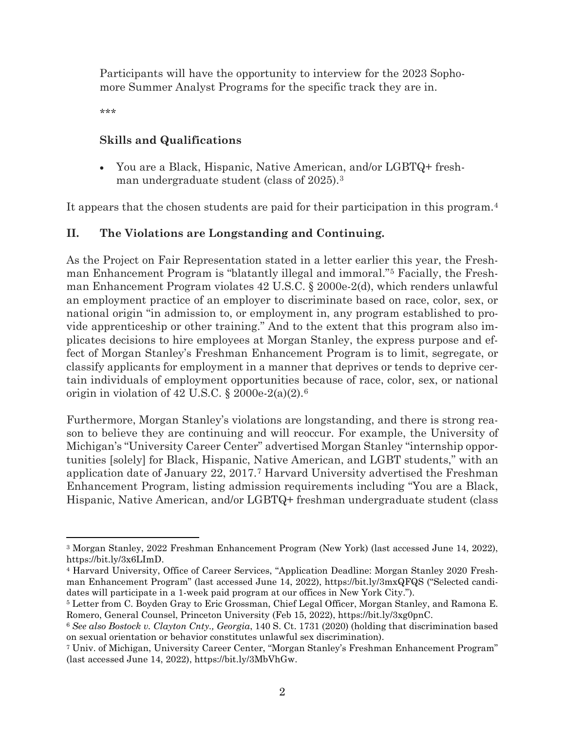Participants will have the opportunity to interview for the 2023 Sophomore Summer Analyst Programs for the specific track they are in.

\*\*\*

#### **Skills and Qualifications**

• You are a Black, Hispanic, Native American, and/or LGBTQ+ freshman undergraduate student (class of 2025).[3](#page-1-0)

It appears that the chosen students are paid for their participation in this program.[4](#page-1-1)

### **II. The Violations are Longstanding and Continuing.**

As the Project on Fair Representation stated in a letter earlier this year, the Freshman Enhancement Program is "blatantly illegal and immoral."[5](#page-1-2) Facially, the Freshman Enhancement Program violates 42 U.S.C. § 2000e-2(d), which renders unlawful an employment practice of an employer to discriminate based on race, color, sex, or national origin "in admission to, or employment in, any program established to provide apprenticeship or other training." And to the extent that this program also implicates decisions to hire employees at Morgan Stanley, the express purpose and effect of Morgan Stanley's Freshman Enhancement Program is to limit, segregate, or classify applicants for employment in a manner that deprives or tends to deprive certain individuals of employment opportunities because of race, color, sex, or national origin in violation of  $42 \text{ U.S.C. }$  \$ 2000e-2(a)(2).<sup>[6](#page-1-3)</sup>

Furthermore, Morgan Stanley's violations are longstanding, and there is strong reason to believe they are continuing and will reoccur. For example, the University of Michigan's "University Career Center" advertised Morgan Stanley "internship opportunities [solely] for Black, Hispanic, Native American, and LGBT students," with an application date of January 22, 2017.[7](#page-1-4) Harvard University advertised the Freshman Enhancement Program, listing admission requirements including "You are a Black, Hispanic, Native American, and/or LGBTQ+ freshman undergraduate student (class

<span id="page-1-0"></span><sup>3</sup> Morgan Stanley, 2022 Freshman Enhancement Program (New York) (last accessed June 14, 2022), https://bit.ly/3x6LImD.

<span id="page-1-1"></span><sup>4</sup> Harvard University, Office of Career Services, "Application Deadline: Morgan Stanley 2020 Freshman Enhancement Program" (last accessed June 14, 2022), https://bit.ly/3mxQFQS ("Selected candidates will participate in a 1-week paid program at our offices in New York City.").

<span id="page-1-2"></span><sup>5</sup> Letter from C. Boyden Gray to Eric Grossman, Chief Legal Officer, Morgan Stanley, and Ramona E. Romero, General Counsel, Princeton University (Feb 15, 2022), https://bit.ly/3xg0pnC. 6 *See also Bostock v. Clayton Cnty., Georgia*, 140 S. Ct. 1731 (2020) (holding that discrimination based

<span id="page-1-3"></span>on sexual orientation or behavior constitutes unlawful sex discrimination).

<span id="page-1-4"></span><sup>7</sup> Univ. of Michigan, University Career Center, "Morgan Stanley's Freshman Enhancement Program" (last accessed June 14, 2022), https://bit.ly/3MbVhGw.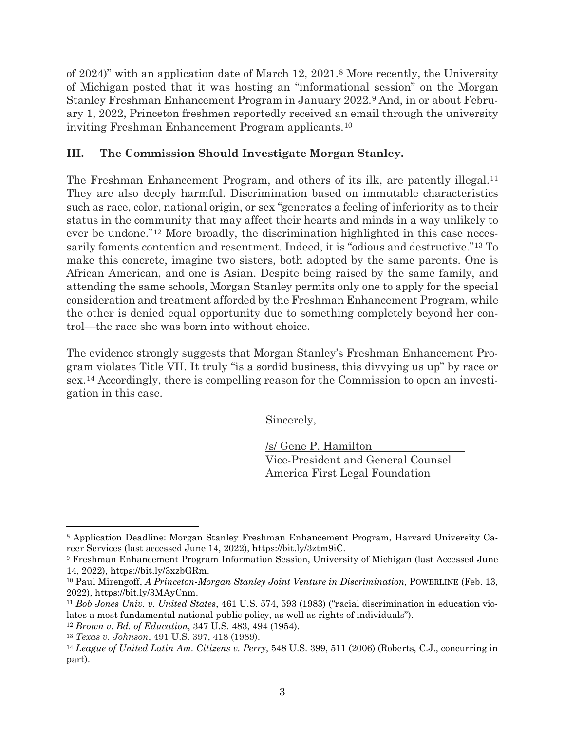of 2024)" with an application date of March 12, 2021[.8](#page-2-0) More recently, the University of Michigan posted that it was hosting an "informational session" on the Morgan Stanley Freshman Enhancement Program in January 2022.[9](#page-2-1) And, in or about February 1, 2022, Princeton freshmen reportedly received an email through the university inviting Freshman Enhancement Program applicants.[10](#page-2-2)

### **III. The Commission Should Investigate Morgan Stanley.**

The Freshman Enhancement Program, and others of its ilk, are patently illegal.[11](#page-2-3) They are also deeply harmful. Discrimination based on immutable characteristics such as race, color, national origin, or sex "generates a feeling of inferiority as to their status in the community that may affect their hearts and minds in a way unlikely to ever be undone."[12](#page-2-4) More broadly, the discrimination highlighted in this case necessarily foments contention and resentment. Indeed, it is "odious and destructive."[13](#page-2-5) To make this concrete, imagine two sisters, both adopted by the same parents. One is African American, and one is Asian. Despite being raised by the same family, and attending the same schools, Morgan Stanley permits only one to apply for the special consideration and treatment afforded by the Freshman Enhancement Program, while the other is denied equal opportunity due to something completely beyond her control—the race she was born into without choice.

The evidence strongly suggests that Morgan Stanley's Freshman Enhancement Program violates Title VII. It truly "is a sordid business, this divvying us up" by race or sex.[14](#page-2-6) Accordingly, there is compelling reason for the Commission to open an investigation in this case.

Sincerely,

/s/ Gene P. Hamilton Vice-President and General Counsel America First Legal Foundation

<span id="page-2-0"></span><sup>8</sup> Application Deadline: Morgan Stanley Freshman Enhancement Program, Harvard University Career Services (last accessed June 14, 2022), https://bit.ly/3ztm9iC.

<span id="page-2-1"></span><sup>9</sup> Freshman Enhancement Program Information Session, University of Michigan (last Accessed June 14, 2022), https://bit.ly/3xzbGRm.

<span id="page-2-2"></span><sup>10</sup> Paul Mirengoff, *A Princeton-Morgan Stanley Joint Venture in Discrimination*, POWERLINE (Feb. 13,

<span id="page-2-3"></span><sup>2022),</sup> https://bit.ly/3MAyCnm. 11 *Bob Jones Univ. v. United States*, 461 U.S. 574, 593 (1983) ("racial discrimination in education violates a most fundamental national public policy, as well as rights of individuals").

<span id="page-2-4"></span><sup>12</sup> *Brown v. Bd. of Education*, 347 U.S. 483, 494 (1954).

<span id="page-2-5"></span><sup>13</sup> *Texas v. Johnson*, 491 U.S. 397, 418 (1989).

<span id="page-2-6"></span><sup>14</sup> *League of United Latin Am. Citizens v. Perry*, 548 U.S. 399, 511 (2006) (Roberts, C.J., concurring in part).